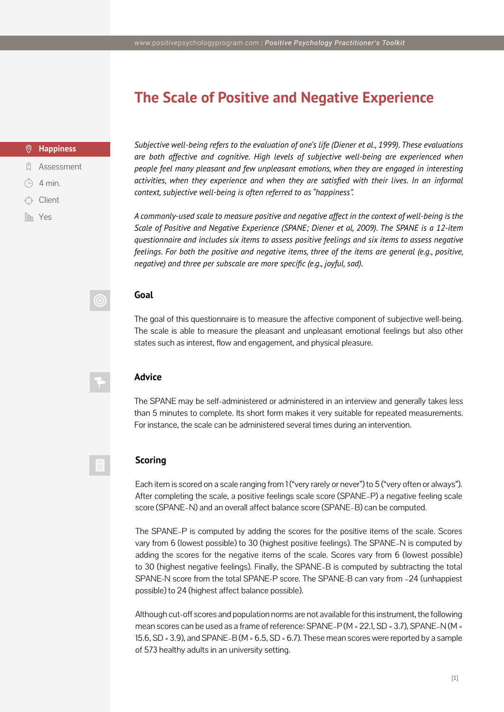## **The Scale of Positive and Negative Experience**

#### $\circledcirc$ **Happiness**

- **Q** Assessment
- $(4)$  4 min.
- Client
- **In**<sub>n</sub> Yes</sub>

*Subjective well-being refers to the evaluation of one's life (Diener et al., 1999). These evaluations are both affective and cognitive. High levels of subjective well-being are experienced when people feel many pleasant and few unpleasant emotions, when they are engaged in interesting*  activities, when they experience and when they are satisfied with their lives. In an informal *context, subjective well-being is often referred to as "happiness".* 

*A commonly-used scale to measure positive and negative affect in the context of well-being is the Scale of Positive and Negative Experience (SPANE; Diener et al, 2009). The SPANE is a 12-item questionnaire and includes six items to assess positive feelings and six items to assess negative feelings. For both the positive and negative items, three of the items are general (e.g., positive, negative) and three per subscale are more specific (e.g., joyful, sad).*

### **Goal**

 $\copyright$ 

丽

The goal of this questionnaire is to measure the affective component of subjective well-being. The scale is able to measure the pleasant and unpleasant emotional feelings but also other states such as interest, flow and engagement, and physical pleasure.

#### **Advice**

The SPANE may be self-administered or administered in an interview and generally takes less than 5 minutes to complete. Its short form makes it very suitable for repeated measurements. For instance, the scale can be administered several times during an intervention.

#### **Scoring**

Each item is scored on a scale ranging from 1 ("very rarely or never") to 5 ("very often or always"). After completing the scale, a positive feelings scale score (SPANE–P) a negative feeling scale score (SPANE–N) and an overall affect balance score (SPANE–B) can be computed.

The SPANE–P is computed by adding the scores for the positive items of the scale. Scores vary from 6 (lowest possible) to 30 (highest positive feelings). The SPANE–N is computed by adding the scores for the negative items of the scale. Scores vary from 6 (lowest possible) to 30 (highest negative feelings). Finally, the SPANE–B is computed by subtracting the total SPANE-N score from the total SPANE-P score. The SPANE-B can vary from –24 (unhappiest possible) to 24 (highest affect balance possible).

Although cut-off scores and population norms are not available for this instrument, the following mean scores can be used as a frame of reference: SPANE–P (M = 22.1, SD = 3.7), SPANE–N (M = 15.6, SD = 3.9), and SPANE–B (M =  $6.5$ , SD =  $6.7$ ). These mean scores were reported by a sample of 573 healthy adults in an university setting.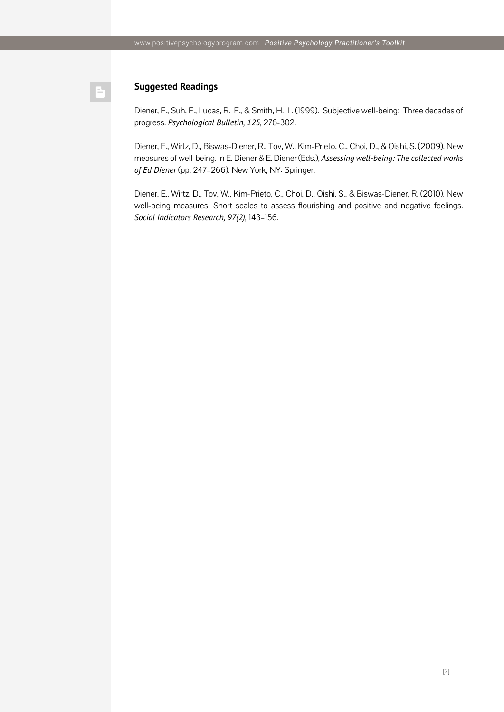#### **Suggested Readings**

Diener, E., Suh, E., Lucas, R. E., & Smith, H. L. (1999). Subjective well-being: Three decades of progress. *Psychological Bulletin, 125,* 276-302.

Diener, E., Wirtz, D., Biswas-Diener, R., Tov, W., Kim-Prieto, C., Choi, D., & Oishi, S. (2009). New measures of well-being. In E. Diener & E. Diener (Eds.), *Assessing well-being: The collected works of Ed Diener* (pp. 247–266). New York, NY: Springer.

Diener, E., Wirtz, D., Tov, W., Kim-Prieto, C., Choi, D., Oishi, S., & Biswas-Diener, R. (2010). New well-being measures: Short scales to assess flourishing and positive and negative feelings. *Social Indicators Research, 97(2),* 143–156.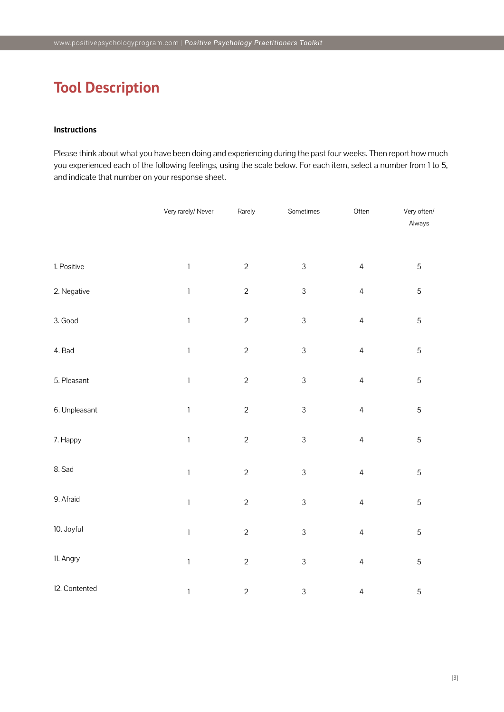# **Tool Description**

#### **Instructions**

Please think about what you have been doing and experiencing during the past four weeks. Then report how much you experienced each of the following feelings, using the scale below. For each item, select a number from 1 to 5, and indicate that number on your response sheet.

|               | Very rarely/ Never        | Rarely         | Sometimes                 | Often          | Very often/<br>Always |
|---------------|---------------------------|----------------|---------------------------|----------------|-----------------------|
| 1. Positive   | $\mathbb{1}$              | $\overline{c}$ | $\mathfrak{Z}$            | $\overline{4}$ | 5                     |
| 2. Negative   | $\ensuremath{\mathsf{1}}$ | $\overline{c}$ | $\mathfrak{Z}$            | $\overline{4}$ | $\mathbf 5$           |
| 3. Good       | $\ensuremath{\mathsf{1}}$ | $\overline{c}$ | $\mathfrak{Z}$            | $\overline{4}$ | $\mathbf 5$           |
| 4. Bad        | $\ensuremath{\mathsf{1}}$ | $\overline{c}$ | $\mathfrak{Z}$            | $\overline{4}$ | $\mathbf 5$           |
| 5. Pleasant   | $\ensuremath{\mathsf{1}}$ | $\overline{c}$ | $\ensuremath{\mathsf{3}}$ | $\overline{4}$ | $\mathbf 5$           |
| 6. Unpleasant | $\ensuremath{\mathsf{1}}$ | $\overline{c}$ | $\mathfrak{Z}$            | $\sqrt{4}$     | $\mathbf 5$           |
| 7. Happy      | $\ensuremath{\mathsf{1}}$ | $\overline{c}$ | $\mathfrak{Z}$            | $\overline{4}$ | $\mathbf 5$           |
| 8. Sad        | $\ensuremath{\mathsf{1}}$ | $\overline{c}$ | $\mathfrak{Z}$            | $\overline{4}$ | 5                     |
| 9. Afraid     | $\ensuremath{\mathsf{1}}$ | $\overline{c}$ | $\mathfrak{Z}$            | $\overline{4}$ | $\mathbf 5$           |
| 10. Joyful    | $\ensuremath{\mathsf{1}}$ | $\overline{c}$ | $\mathfrak{Z}$            | $\overline{4}$ | $\mathbf 5$           |
| 11. Angry     | $\ensuremath{\mathsf{1}}$ | $\overline{c}$ | $\mathfrak{Z}$            | $\overline{4}$ | $\overline{5}$        |
| 12. Contented | $\mathbbm{1}$             | $\overline{c}$ | $\ensuremath{\mathsf{3}}$ | $\overline{4}$ | 5                     |